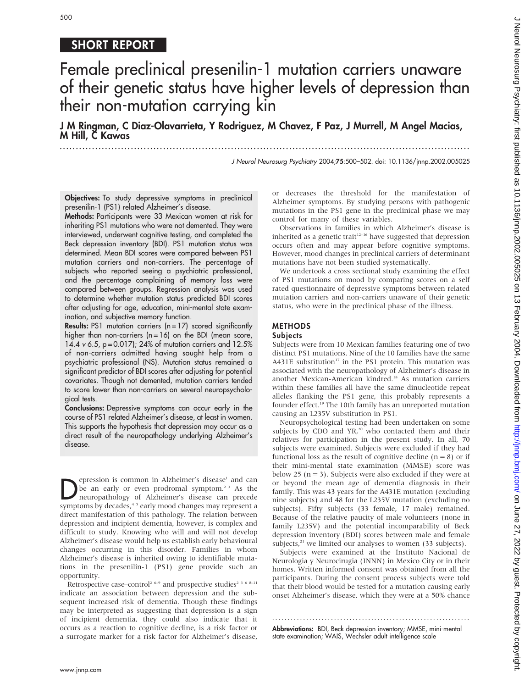## SHORT REPORT

# Female preclinical presenilin-1 mutation carriers unaware of their genetic status have higher levels of depression than their non-mutation carrying kin

J M Ringman, C Diaz-Olavarrieta, Y Rodriguez, M Chavez, F Paz, J Murrell, M Angel Macias, M Hill, C Kawas

.............................................................................................................................. .

J Neurol Neurosurg Psychiatry 2004;75:500–502. doi: 10.1136/jnnp.2002.005025

Objectives: To study depressive symptoms in preclinical presenilin-1 (PS1) related Alzheimer's disease.

Methods: Participants were 33 Mexican women at risk for inheriting PS1 mutations who were not demented. They were interviewed, underwent cognitive testing, and completed the Beck depression inventory (BDI). PS1 mutation status was determined. Mean BDI scores were compared between PS1 mutation carriers and non-carriers. The percentage of subjects who reported seeing a psychiatric professional, and the percentage complaining of memory loss were compared between groups. Regression analysis was used to determine whether mutation status predicted BDI scores after adjusting for age, education, mini-mental state examination, and subjective memory function.

Results: PS1 mutation carriers (n = 17) scored significantly higher than non-carriers  $(n = 16)$  on the BDI (mean score, 14.4 v 6.5, p = 0.017); 24% of mutation carriers and 12.5% of non-carriers admitted having sought help from a psychiatric professional (NS). Mutation status remained a significant predictor of BDI scores after adjusting for potential covariates. Though not demented, mutation carriers tended to score lower than non-carriers on several neuropsychological tests.

Conclusions: Depressive symptoms can occur early in the course of PS1 related Alzheimer's disease, at least in women. This supports the hypothesis that depression may occur as a direct result of the neuropathology underlying Alzheimer's disease.

**Depression is common in Alzheimer's disease' and can**<br>he an early or even prodromal symptom.<sup>2,3</sup> As the<br>neuropathology of Alzheimer's disease can precede<br>symptoms by decades.<sup>4,5</sup> early mood changes may represent a be an early or even prodromal symptom.<sup>23</sup> As the neuropathology of Alzheimer's disease can precede symptoms by decades,<sup>45</sup> early mood changes may represent a direct manifestation of this pathology. The relation between depression and incipient dementia, however, is complex and difficult to study. Knowing who will and will not develop Alzheimer's disease would help us establish early behavioural changes occurring in this disorder. Families in whom Alzheimer's disease is inherited owing to identifiable mutations in the presenilin-1 (PS1) gene provide such an opportunity.

Retrospective case–control<sup>2 6–9</sup> and prospective studies<sup>2 3 6 8–11</sup> indicate an association between depression and the subsequent increased risk of dementia. Though these findings may be interpreted as suggesting that depression is a sign of incipient dementia, they could also indicate that it occurs as a reaction to cognitive decline, is a risk factor or a surrogate marker for a risk factor for Alzheimer's disease, or decreases the threshold for the manifestation of Alzheimer symptoms. By studying persons with pathogenic mutations in the PS1 gene in the preclinical phase we may control for many of these variables.

Observations in families in which Alzheimer's disease is inherited as a genetic trait<sup>12-16</sup> have suggested that depression occurs often and may appear before cognitive symptoms. However, mood changes in preclinical carriers of determinant mutations have not been studied systematically.

We undertook a cross sectional study examining the effect of PS1 mutations on mood by comparing scores on a self rated questionnaire of depressive symptoms between related mutation carriers and non-carriers unaware of their genetic status, who were in the preclinical phase of the illness.

#### METHODS

### Subjects

Subjects were from 10 Mexican families featuring one of two distinct PS1 mutations. Nine of the 10 families have the same A431E substitution<sup>17</sup> in the PS1 protein. This mutation was associated with the neuropathology of Alzheimer's disease in another Mexican-American kindred.18 As mutation carriers within these families all have the same dinucleotide repeat alleles flanking the PS1 gene, this probably represents a founder effect.19 The 10th family has an unreported mutation causing an L235V substitution in PS1.

Neuropsychological testing had been undertaken on some subjects by CDO and YR,<sup>20</sup> who contacted them and their relatives for participation in the present study. In all, 70 subjects were examined. Subjects were excluded if they had functional loss as the result of cognitive decline  $(n = 8)$  or if their mini-mental state examination (MMSE) score was below 25 ( $n = 3$ ). Subjects were also excluded if they were at or beyond the mean age of dementia diagnosis in their family. This was 43 years for the A431E mutation (excluding nine subjects) and 48 for the L235V mutation (excluding no subjects). Fifty subjects (33 female, 17 male) remained. Because of the relative paucity of male volunteers (none in family L235V) and the potential incomparability of Beck depression inventory (BDI) scores between male and female subjects, $21$  we limited our analyses to women (33 subjects).

Subjects were examined at the Instituto Nacional de Neurologia y Neurocirugia (INNN) in Mexico City or in their homes. Written informed consent was obtained from all the participants. During the consent process subjects were told that their blood would be tested for a mutation causing early onset Alzheimer's disease, which they were at a 50% chance

............................................................... . Abbreviations: BDI, Beck depression inventory; MMSE, mini-mental state examination; WAIS, Wechsler adult intelligence scale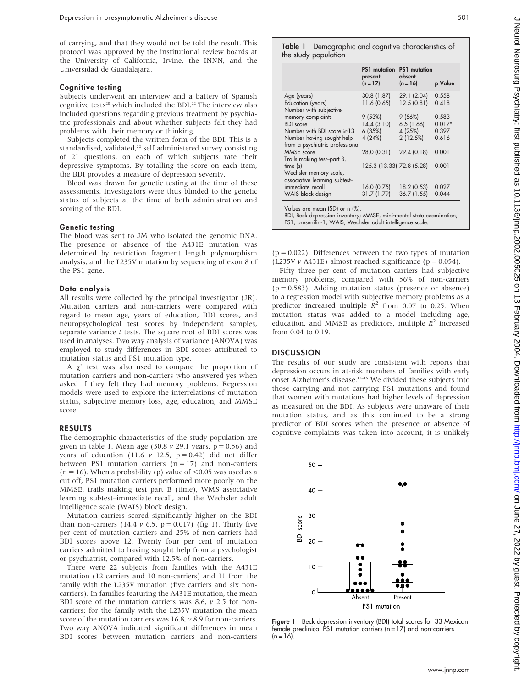of carrying, and that they would not be told the result. This protocol was approved by the institutional review boards at the University of California, Irvine, the INNN, and the Universidad de Guadalajara.

#### Cognitive testing

Subjects underwent an interview and a battery of Spanish cognitive tests<sup>20</sup> which included the BDI.<sup>22</sup> The interview also included questions regarding previous treatment by psychiatric professionals and about whether subjects felt they had problems with their memory or thinking.

Subjects completed the written form of the BDI. This is a standardised, validated, $22$  self administered survey consisting of 21 questions, on each of which subjects rate their depressive symptoms. By totalling the score on each item, the BDI provides a measure of depression severity.

Blood was drawn for genetic testing at the time of these assessments. Investigators were thus blinded to the genetic status of subjects at the time of both administration and scoring of the BDI.

#### Genetic testing

The blood was sent to JM who isolated the genomic DNA. The presence or absence of the A431E mutation was determined by restriction fragment length polymorphism analysis, and the L235V mutation by sequencing of exon 8 of the PS1 gene.

#### Data analysis

All results were collected by the principal investigator (JR). Mutation carriers and non-carriers were compared with regard to mean age, years of education, BDI scores, and neuropsychological test scores by independent samples, separate variance  $t$  tests. The square root of BDI scores was used in analyses. Two way analysis of variance (ANOVA) was employed to study differences in BDI scores attributed to mutation status and PS1 mutation type.

A  $\gamma^2$  test was also used to compare the proportion of mutation carriers and non-carriers who answered yes when asked if they felt they had memory problems. Regression models were used to explore the interrelations of mutation status, subjective memory loss, age, education, and MMSE score.

#### RESULTS

The demographic characteristics of the study population are given in table 1. Mean age (30.8  $\nu$  29.1 years, p = 0.56) and years of education (11.6  $\nu$  12.5, p = 0.42) did not differ between PS1 mutation carriers  $(n = 17)$  and non-carriers  $(n = 16)$ . When a probability (p) value of  $\leq 0.05$  was used as a cut off, PS1 mutation carriers performed more poorly on the MMSE, trails making test part B (time), WMS associative learning subtest–immediate recall, and the Wechsler adult intelligence scale (WAIS) block design.

Mutation carriers scored significantly higher on the BDI than non-carriers (14.4  $\nu$  6.5, p = 0.017) (fig 1). Thirty five per cent of mutation carriers and 25% of non-carriers had BDI scores above 12. Twenty four per cent of mutation carriers admitted to having sought help from a psychologist or psychiatrist, compared with 12.5% of non-carriers.

There were 22 subjects from families with the A431E mutation (12 carriers and 10 non-carriers) and 11 from the family with the L235V mutation (five carriers and six noncarriers). In families featuring the A431E mutation, the mean BDI score of the mutation carriers was 8.6,  $\nu$  2.5 for noncarriers; for the family with the L235V mutation the mean score of the mutation carriers was 16.8,  $\nu$  8.9 for non-carriers. Two way ANOVA indicated significant differences in mean BDI scores between mutation carriers and non-carriers Table 1 Demographic and cognitive characteristics of the study population

|                                 | <b>PS1</b> mutation<br>present | <b>PS1</b> mutation<br>absent |          |
|---------------------------------|--------------------------------|-------------------------------|----------|
|                                 | $(n = 17)$                     | $(n = 16)$                    | p Value  |
| Age (years)                     | 30.8(1.87)                     | 29.1(2.04)                    | 0.558    |
| Education (years)               | 11.6 (0.65)                    | 12.5(0.81)                    | 0.418    |
| Number with subjective          |                                |                               |          |
| memory complaints               | 9(53%)                         | 9(56%)                        | 0.583    |
| <b>BDI</b> score                | 14.4(3.10)                     | 6.5(1.66)                     | $0.017*$ |
| Number with BDI score $\geq 13$ | 6(35%)                         | 4 (25%)                       | 0.397    |
| Number having sought help       | 4 (24%)                        | 2(12.5%)                      | 0.616    |
| from a psychiatric professional |                                |                               |          |
| MMSE score                      | 28.0 (0.31)                    | 29.4 (0.18)                   | 0.001    |
| Trails making test-part B,      |                                |                               |          |
| time(s)                         | 125.3 (13.33) 72.8 (5.28)      |                               | 0.001    |
| Wechsler memory scale,          |                                |                               |          |
| associative learning subtest-   |                                |                               |          |
| immediate recall                | 16.0(0.75)                     | 18.2 (0.53)                   | 0.027    |
| WAIS block design               | 31.7 (1.79)                    | 36.7(1.55)                    | 0.044    |
| Values are mean (SD) or n (%).  |                                |                               |          |

BDI, Beck depression inventory; MMSE, mini-mental state examination; PS1, presenilin-1; WAIS, Wechsler adult intelligence scale.

 $(p = 0.022)$ . Differences between the two types of mutation (L235V  $\nu$  A431E) almost reached significance ( $p = 0.054$ ).

Fifty three per cent of mutation carriers had subjective memory problems, compared with 56% of non-carriers  $(p = 0.583)$ . Adding mutation status (presence or absence) to a regression model with subjective memory problems as a predictor increased multiple  $R^2$  from 0.07 to 0.25. When mutation status was added to a model including age, education, and MMSE as predictors, multiple  $R^2$  increased from 0.04 to 0.19.

#### **DISCUSSION**

The results of our study are consistent with reports that depression occurs in at-risk members of families with early onset Alzheimer's disease.12–16 We divided these subjects into those carrying and not carrying PS1 mutations and found that women with mutations had higher levels of depression as measured on the BDI. As subjects were unaware of their mutation status, and as this continued to be a strong predictor of BDI scores when the presence or absence of cognitive complaints was taken into account, it is unlikely



Figure 1 Beck depression inventory (BDI) total scores for 33 Mexican female preclinical PS1 mutation carriers (n = 17) and non-carriers  $(n = 16)$ .